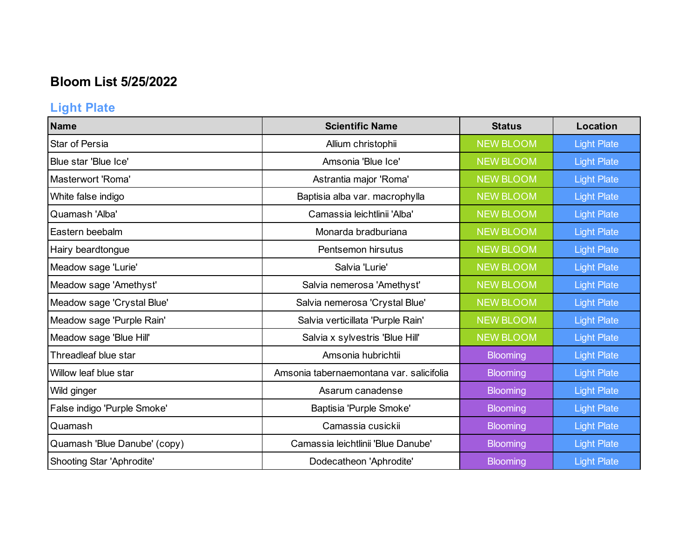## **Bloom List 5/25/2022**

# **Light Plate**

| <b>Name</b>                      | <b>Scientific Name</b>                   | <b>Status</b>    | Location           |
|----------------------------------|------------------------------------------|------------------|--------------------|
| <b>Star of Persia</b>            | Allium christophii                       | <b>NEW BLOOM</b> | <b>Light Plate</b> |
| Blue star 'Blue Ice'             | Amsonia 'Blue Ice'                       | <b>NEW BLOOM</b> | <b>Light Plate</b> |
| Masterwort 'Roma'                | Astrantia major 'Roma'                   | <b>NEW BLOOM</b> | <b>Light Plate</b> |
| White false indigo               | Baptisia alba var. macrophylla           | <b>NEW BLOOM</b> | <b>Light Plate</b> |
| Quamash 'Alba'                   | Camassia leichtlinii 'Alba'              | <b>NEW BLOOM</b> | <b>Light Plate</b> |
| Eastern beebalm                  | Monarda bradburiana                      | <b>NEW BLOOM</b> | <b>Light Plate</b> |
| Hairy beardtongue                | Pentsemon hirsutus                       | <b>NEW BLOOM</b> | <b>Light Plate</b> |
| Meadow sage 'Lurie'              | Salvia 'Lurie'                           | <b>NEW BLOOM</b> | <b>Light Plate</b> |
| Meadow sage 'Amethyst'           | Salvia nemerosa 'Amethyst'               | <b>NEW BLOOM</b> | <b>Light Plate</b> |
| Meadow sage 'Crystal Blue'       | Salvia nemerosa 'Crystal Blue'           | <b>NEW BLOOM</b> | <b>Light Plate</b> |
| Meadow sage 'Purple Rain'        | Salvia verticillata 'Purple Rain'        | <b>NEW BLOOM</b> | <b>Light Plate</b> |
| Meadow sage 'Blue Hill'          | Salvia x sylvestris 'Blue Hill'          | <b>NEW BLOOM</b> | <b>Light Plate</b> |
| Threadleaf blue star             | Amsonia hubrichtii                       | <b>Blooming</b>  | <b>Light Plate</b> |
| Willow leaf blue star            | Amsonia tabernaemontana var. salicifolia | <b>Blooming</b>  | <b>Light Plate</b> |
| Wild ginger                      | Asarum canadense                         | <b>Blooming</b>  | <b>Light Plate</b> |
| False indigo 'Purple Smoke'      | Baptisia 'Purple Smoke'                  | <b>Blooming</b>  | <b>Light Plate</b> |
| Quamash                          | Camassia cusickii                        | <b>Blooming</b>  | <b>Light Plate</b> |
| Quamash 'Blue Danube' (copy)     | Camassia leichtlinii 'Blue Danube'       | <b>Blooming</b>  | <b>Light Plate</b> |
| <b>Shooting Star 'Aphrodite'</b> | Dodecatheon 'Aphrodite'                  | <b>Blooming</b>  | <b>Light Plate</b> |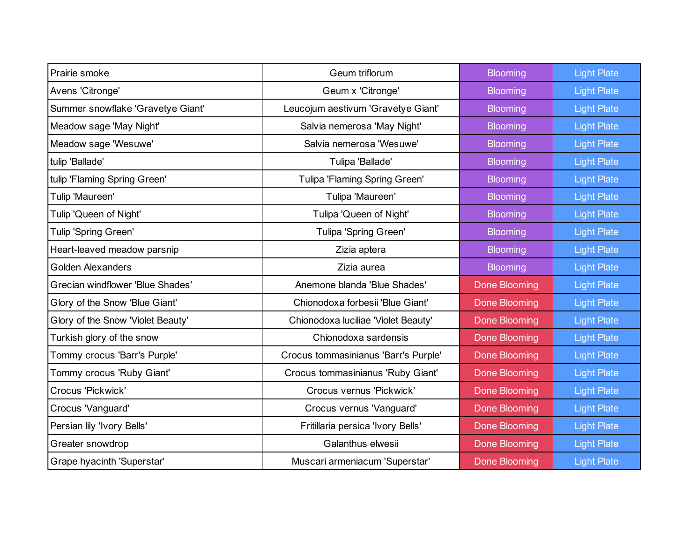| Prairie smoke                     | Geum triflorum                       | <b>Blooming</b>      | <b>Light Plate</b> |
|-----------------------------------|--------------------------------------|----------------------|--------------------|
| Avens 'Citronge'                  | Geum x 'Citronge'                    | <b>Blooming</b>      | <b>Light Plate</b> |
| Summer snowflake 'Gravetye Giant' | Leucojum aestivum 'Gravetye Giant'   | <b>Blooming</b>      | <b>Light Plate</b> |
| Meadow sage 'May Night'           | Salvia nemerosa 'May Night'          | <b>Blooming</b>      | <b>Light Plate</b> |
| Meadow sage 'Wesuwe'              | Salvia nemerosa 'Wesuwe'             | <b>Blooming</b>      | <b>Light Plate</b> |
| tulip 'Ballade'                   | Tulipa 'Ballade'                     | <b>Blooming</b>      | <b>Light Plate</b> |
| tulip 'Flaming Spring Green'      | Tulipa 'Flaming Spring Green'        | <b>Blooming</b>      | <b>Light Plate</b> |
| Tulip 'Maureen'                   | Tulipa 'Maureen'                     | <b>Blooming</b>      | <b>Light Plate</b> |
| Tulip 'Queen of Night'            | Tulipa 'Queen of Night'              | <b>Blooming</b>      | <b>Light Plate</b> |
| Tulip 'Spring Green'              | <b>Tulipa 'Spring Green'</b>         | <b>Blooming</b>      | <b>Light Plate</b> |
| Heart-leaved meadow parsnip       | Zizia aptera                         | <b>Blooming</b>      | <b>Light Plate</b> |
| <b>Golden Alexanders</b>          | Zizia aurea                          | <b>Blooming</b>      | <b>Light Plate</b> |
| Grecian windflower 'Blue Shades'  | Anemone blanda 'Blue Shades'         | Done Blooming        | <b>Light Plate</b> |
| Glory of the Snow 'Blue Giant'    | Chionodoxa forbesii 'Blue Giant'     | <b>Done Blooming</b> | <b>Light Plate</b> |
| Glory of the Snow 'Violet Beauty' | Chionodoxa luciliae 'Violet Beauty'  | Done Blooming        | <b>Light Plate</b> |
| Turkish glory of the snow         | Chionodoxa sardensis                 | Done Blooming        | <b>Light Plate</b> |
| Tommy crocus 'Barr's Purple'      | Crocus tommasinianus 'Barr's Purple' | Done Blooming        | <b>Light Plate</b> |
| Tommy crocus 'Ruby Giant'         | Crocus tommasinianus 'Ruby Giant'    | Done Blooming        | <b>Light Plate</b> |
| Crocus 'Pickwick'                 | Crocus vernus 'Pickwick'             | Done Blooming        | <b>Light Plate</b> |
| Crocus 'Vanguard'                 | Crocus vernus 'Vanguard'             | Done Blooming        | <b>Light Plate</b> |
| Persian lily 'Ivory Bells'        | Fritillaria persica 'Ivory Bells'    | Done Blooming        | <b>Light Plate</b> |
| Greater snowdrop                  | Galanthus elwesii                    | <b>Done Blooming</b> | <b>Light Plate</b> |
| Grape hyacinth 'Superstar'        | Muscari armeniacum 'Superstar'       | Done Blooming        | <b>Light Plate</b> |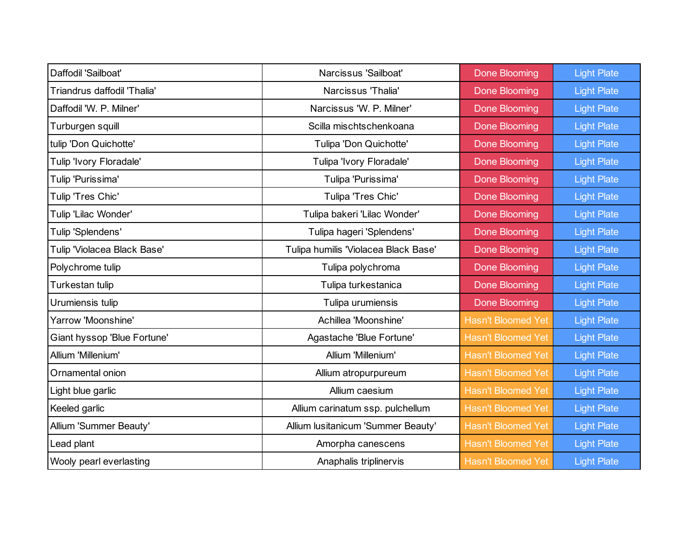| Daffodil 'Sailboat'         | Narcissus 'Sailboat'                 | <b>Done Blooming</b>      | <b>Light Plate</b> |
|-----------------------------|--------------------------------------|---------------------------|--------------------|
| Triandrus daffodil 'Thalia' | Narcissus 'Thalia'                   | <b>Done Blooming</b>      | <b>Light Plate</b> |
| Daffodil 'W. P. Milner'     | Narcissus 'W. P. Milner'             | Done Blooming             | <b>Light Plate</b> |
| Turburgen squill            | Scilla mischtschenkoana              | Done Blooming             | <b>Light Plate</b> |
| tulip 'Don Quichotte'       | Tulipa 'Don Quichotte'               | Done Blooming             | <b>Light Plate</b> |
| Tulip 'Ivory Floradale'     | Tulipa 'Ivory Floradale'             | <b>Done Blooming</b>      | <b>Light Plate</b> |
| Tulip 'Purissima'           | Tulipa 'Purissima'                   | Done Blooming             | <b>Light Plate</b> |
| Tulip 'Tres Chic'           | Tulipa 'Tres Chic'                   | Done Blooming             | <b>Light Plate</b> |
| Tulip 'Lilac Wonder'        | Tulipa bakeri 'Lilac Wonder'         | <b>Done Blooming</b>      | <b>Light Plate</b> |
| Tulip 'Splendens'           | Tulipa hageri 'Splendens'            | <b>Done Blooming</b>      | <b>Light Plate</b> |
| Tulip 'Violacea Black Base' | Tulipa humilis 'Violacea Black Base' | Done Blooming             | <b>Light Plate</b> |
| Polychrome tulip            | Tulipa polychroma                    | <b>Done Blooming</b>      | <b>Light Plate</b> |
| Turkestan tulip             | Tulipa turkestanica                  | Done Blooming             | <b>Light Plate</b> |
| Urumiensis tulip            | Tulipa urumiensis                    | <b>Done Blooming</b>      | <b>Light Plate</b> |
| Yarrow 'Moonshine'          | Achillea 'Moonshine'                 | <b>Hasn't Bloomed Yet</b> | <b>Light Plate</b> |
| Giant hyssop 'Blue Fortune' | Agastache 'Blue Fortune'             | <b>Hasn't Bloomed Yet</b> | <b>Light Plate</b> |
| Allium 'Millenium'          | Allium 'Millenium'                   | <b>Hasn't Bloomed Yet</b> | <b>Light Plate</b> |
| Ornamental onion            | Allium atropurpureum                 | <b>Hasn't Bloomed Yet</b> | <b>Light Plate</b> |
| Light blue garlic           | Allium caesium                       | <b>Hasn't Bloomed Yet</b> | <b>Light Plate</b> |
| Keeled garlic               | Allium carinatum ssp. pulchellum     | <b>Hasn't Bloomed Yet</b> | <b>Light Plate</b> |
| Allium 'Summer Beauty'      | Allium lusitanicum 'Summer Beauty'   | <b>Hasn't Bloomed Yet</b> | <b>Light Plate</b> |
| Lead plant                  | Amorpha canescens                    | <b>Hasn't Bloomed Yet</b> | <b>Light Plate</b> |
| Wooly pearl everlasting     | Anaphalis triplinervis               | <b>Hasn't Bloomed Yet</b> | <b>Light Plate</b> |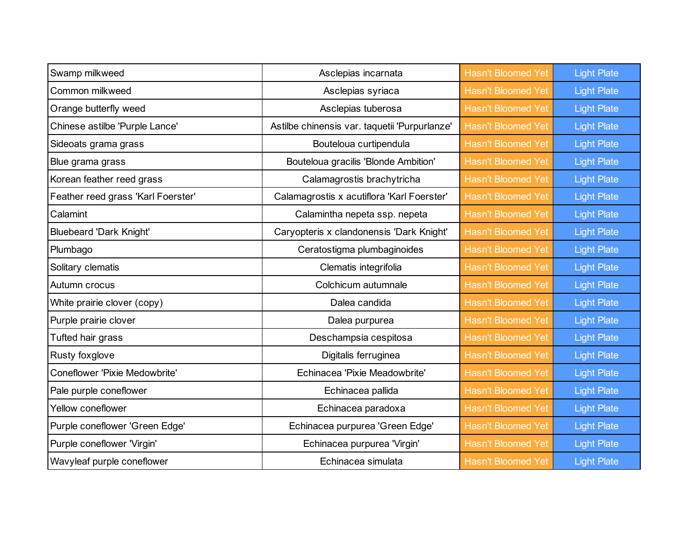| Swamp milkweed                       | Asclepias incarnata                           | <b>Hasn't Bloomed Yet</b> | <b>Light Plate</b> |
|--------------------------------------|-----------------------------------------------|---------------------------|--------------------|
| Common milkweed                      | Asclepias syriaca                             | <b>Hasn't Bloomed Yet</b> | <b>Light Plate</b> |
| Orange butterfly weed                | Asclepias tuberosa                            | <b>Hasn't Bloomed Yet</b> | <b>Light Plate</b> |
| Chinese astilbe 'Purple Lance'       | Astilbe chinensis var. taquetii 'Purpurlanze' | <b>Hasn't Bloomed Yet</b> | <b>Light Plate</b> |
| Sideoats grama grass                 | Bouteloua curtipendula                        | <b>Hasn't Bloomed Yet</b> | <b>Light Plate</b> |
| Blue grama grass                     | Bouteloua gracilis 'Blonde Ambition'          | <b>Hasn't Bloomed Yet</b> | <b>Light Plate</b> |
| Korean feather reed grass            | Calamagrostis brachytricha                    | <b>Hasn't Bloomed Yet</b> | <b>Light Plate</b> |
| Feather reed grass 'Karl Foerster'   | Calamagrostis x acutiflora 'Karl Foerster'    | <b>Hasn't Bloomed Yet</b> | <b>Light Plate</b> |
| Calamint                             | Calamintha nepeta ssp. nepeta                 | <b>Hasn't Bloomed Yet</b> | <b>Light Plate</b> |
| <b>Bluebeard 'Dark Knight'</b>       | Caryopteris x clandonensis 'Dark Knight'      | <b>Hasn't Bloomed Yet</b> | <b>Light Plate</b> |
| Plumbago                             | Ceratostigma plumbaginoides                   | <b>Hasn't Bloomed Yet</b> | <b>Light Plate</b> |
| Solitary clematis                    | Clematis integrifolia                         | <b>Hasn't Bloomed Yet</b> | <b>Light Plate</b> |
| Autumn crocus                        | Colchicum autumnale                           | <b>Hasn't Bloomed Yet</b> | <b>Light Plate</b> |
| White prairie clover (copy)          | Dalea candida                                 | <b>Hasn't Bloomed Yet</b> | <b>Light Plate</b> |
| Purple prairie clover                | Dalea purpurea                                | <b>Hasn't Bloomed Yet</b> | <b>Light Plate</b> |
| Tufted hair grass                    | Deschampsia cespitosa                         | <b>Hasn't Bloomed Yet</b> | <b>Light Plate</b> |
| Rusty foxglove                       | Digitalis ferruginea                          | <b>Hasn't Bloomed Yet</b> | <b>Light Plate</b> |
| <b>Coneflower 'Pixie Medowbrite'</b> | Echinacea 'Pixie Meadowbrite'                 | <b>Hasn't Bloomed Yet</b> | <b>Light Plate</b> |
| Pale purple coneflower               | Echinacea pallida                             | <b>Hasn't Bloomed Yet</b> | <b>Light Plate</b> |
| Yellow coneflower                    | Echinacea paradoxa                            | <b>Hasn't Bloomed Yet</b> | <b>Light Plate</b> |
| Purple coneflower 'Green Edge'       | Echinacea purpurea 'Green Edge'               | <b>Hasn't Bloomed Yet</b> | <b>Light Plate</b> |
| Purple coneflower 'Virgin'           | Echinacea purpurea 'Virgin'                   | <b>Hasn't Bloomed Yet</b> | <b>Light Plate</b> |
| Wavyleaf purple coneflower           | Echinacea simulata                            | <b>Hasn't Bloomed Yet</b> | <b>Light Plate</b> |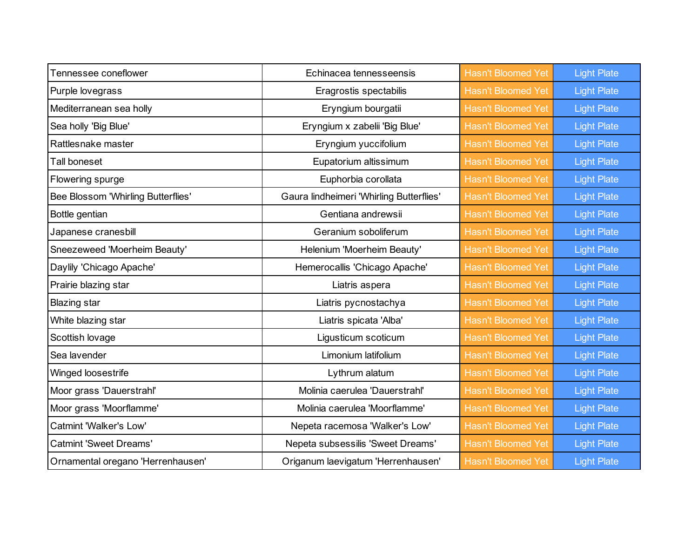| Tennessee coneflower               | Echinacea tennesseensis                  | <b>Hasn't Bloomed Yet</b> | <b>Light Plate</b> |
|------------------------------------|------------------------------------------|---------------------------|--------------------|
| Purple lovegrass                   | Eragrostis spectabilis                   | <b>Hasn't Bloomed Yet</b> | <b>Light Plate</b> |
| Mediterranean sea holly            | Eryngium bourgatii                       | <b>Hasn't Bloomed Yet</b> | <b>Light Plate</b> |
| Sea holly 'Big Blue'               | Eryngium x zabelii 'Big Blue'            | <b>Hasn't Bloomed Yet</b> | <b>Light Plate</b> |
| Rattlesnake master                 | Eryngium yuccifolium                     | <b>Hasn't Bloomed Yet</b> | <b>Light Plate</b> |
| Tall boneset                       | Eupatorium altissimum                    | <b>Hasn't Bloomed Yet</b> | <b>Light Plate</b> |
| Flowering spurge                   | Euphorbia corollata                      | <b>Hasn't Bloomed Yet</b> | <b>Light Plate</b> |
| Bee Blossom 'Whirling Butterflies' | Gaura lindheimeri 'Whirling Butterflies' | <b>Hasn't Bloomed Yet</b> | <b>Light Plate</b> |
| Bottle gentian                     | Gentiana andrewsii                       | <b>Hasn't Bloomed Yet</b> | <b>Light Plate</b> |
| Japanese cranesbill                | Geranium soboliferum                     | <b>Hasn't Bloomed Yet</b> | <b>Light Plate</b> |
| Sneezeweed 'Moerheim Beauty'       | Helenium 'Moerheim Beauty'               | <b>Hasn't Bloomed Yet</b> | <b>Light Plate</b> |
| Daylily 'Chicago Apache'           | Hemerocallis 'Chicago Apache'            | <b>Hasn't Bloomed Yet</b> | <b>Light Plate</b> |
| Prairie blazing star               | Liatris aspera                           | <b>Hasn't Bloomed Yet</b> | <b>Light Plate</b> |
| <b>Blazing star</b>                | Liatris pycnostachya                     | <b>Hasn't Bloomed Yet</b> | <b>Light Plate</b> |
| White blazing star                 | Liatris spicata 'Alba'                   | <b>Hasn't Bloomed Yet</b> | <b>Light Plate</b> |
| Scottish lovage                    | Ligusticum scoticum                      | <b>Hasn't Bloomed Yet</b> | <b>Light Plate</b> |
| Sea lavender                       | Limonium latifolium                      | <b>Hasn't Bloomed Yet</b> | <b>Light Plate</b> |
| Winged loosestrife                 | Lythrum alatum                           | <b>Hasn't Bloomed Yet</b> | <b>Light Plate</b> |
| Moor grass 'Dauerstrahl'           | Molinia caerulea 'Dauerstrahl'           | <b>Hasn't Bloomed Yet</b> | <b>Light Plate</b> |
| Moor grass 'Moorflamme'            | Molinia caerulea 'Moorflamme'            | <b>Hasn't Bloomed Yet</b> | <b>Light Plate</b> |
| Catmint 'Walker's Low'             | Nepeta racemosa 'Walker's Low'           | <b>Hasn't Bloomed Yet</b> | <b>Light Plate</b> |
| <b>Catmint 'Sweet Dreams'</b>      | Nepeta subsessilis 'Sweet Dreams'        | <b>Hasn't Bloomed Yet</b> | <b>Light Plate</b> |
| Ornamental oregano 'Herrenhausen'  | Origanum laevigatum 'Herrenhausen'       | <b>Hasn't Bloomed Yet</b> | <b>Light Plate</b> |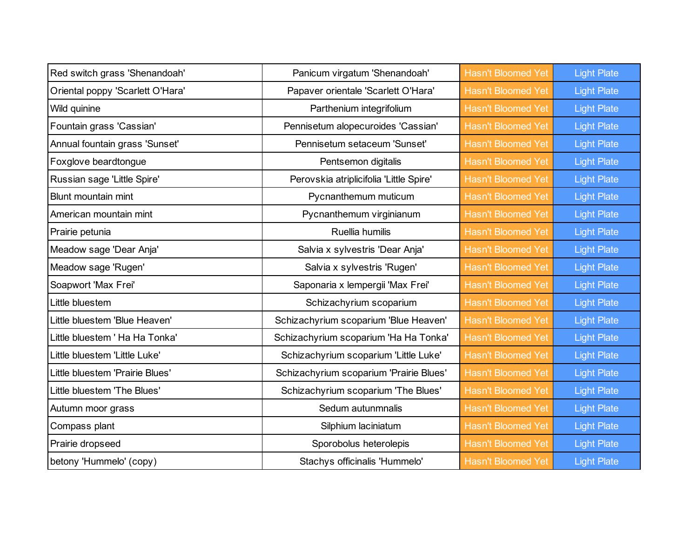| Red switch grass 'Shenandoah'    | Panicum virgatum 'Shenandoah'           | Hasn't Bloomed Yet        | <b>Light Plate</b> |
|----------------------------------|-----------------------------------------|---------------------------|--------------------|
| Oriental poppy 'Scarlett O'Hara' | Papaver orientale 'Scarlett O'Hara'     | <b>Hasn't Bloomed Yet</b> | <b>Light Plate</b> |
| Wild quinine                     | Parthenium integrifolium                | <b>Hasn't Bloomed Yet</b> | <b>Light Plate</b> |
| Fountain grass 'Cassian'         | Pennisetum alopecuroides 'Cassian'      | <b>Hasn't Bloomed Yet</b> | <b>Light Plate</b> |
| Annual fountain grass 'Sunset'   | Pennisetum setaceum 'Sunset'            | <b>Hasn't Bloomed Yet</b> | <b>Light Plate</b> |
| Foxglove beardtongue             | Pentsemon digitalis                     | <b>Hasn't Bloomed Yet</b> | <b>Light Plate</b> |
| Russian sage 'Little Spire'      | Perovskia atriplicifolia 'Little Spire' | <b>Hasn't Bloomed Yet</b> | <b>Light Plate</b> |
| Blunt mountain mint              | Pycnanthemum muticum                    | <b>Hasn't Bloomed Yet</b> | <b>Light Plate</b> |
| American mountain mint           | Pycnanthemum virginianum                | <b>Hasn't Bloomed Yet</b> | <b>Light Plate</b> |
| Prairie petunia                  | Ruellia humilis                         | <b>Hasn't Bloomed Yet</b> | <b>Light Plate</b> |
| Meadow sage 'Dear Anja'          | Salvia x sylvestris 'Dear Anja'         | <b>Hasn't Bloomed Yet</b> | <b>Light Plate</b> |
| Meadow sage 'Rugen'              | Salvia x sylvestris 'Rugen'             | <b>Hasn't Bloomed Yet</b> | <b>Light Plate</b> |
| Soapwort 'Max Frei'              | Saponaria x lempergii 'Max Frei'        | <b>Hasn't Bloomed Yet</b> | <b>Light Plate</b> |
| Little bluestem                  | Schizachyrium scoparium                 | <b>Hasn't Bloomed Yet</b> | <b>Light Plate</b> |
| Little bluestem 'Blue Heaven'    | Schizachyrium scoparium 'Blue Heaven'   | <b>Hasn't Bloomed Yet</b> | <b>Light Plate</b> |
| Little bluestem ' Ha Ha Tonka'   | Schizachyrium scoparium 'Ha Ha Tonka'   | <b>Hasn't Bloomed Yet</b> | <b>Light Plate</b> |
| Little bluestem 'Little Luke'    | Schizachyrium scoparium 'Little Luke'   | <b>Hasn't Bloomed Yet</b> | <b>Light Plate</b> |
| Little bluestem 'Prairie Blues'  | Schizachyrium scoparium 'Prairie Blues' | <b>Hasn't Bloomed Yet</b> | <b>Light Plate</b> |
| Little bluestem 'The Blues'      | Schizachyrium scoparium 'The Blues'     | <b>Hasn't Bloomed Yet</b> | <b>Light Plate</b> |
| Autumn moor grass                | Sedum autunmnalis                       | <b>Hasn't Bloomed Yet</b> | <b>Light Plate</b> |
| Compass plant                    | Silphium laciniatum                     | <b>Hasn't Bloomed Yet</b> | <b>Light Plate</b> |
| Prairie dropseed                 | Sporobolus heterolepis                  | <b>Hasn't Bloomed Yet</b> | <b>Light Plate</b> |
| betony 'Hummelo' (copy)          | Stachys officinalis 'Hummelo'           | <b>Hasn't Bloomed Yet</b> | <b>Light Plate</b> |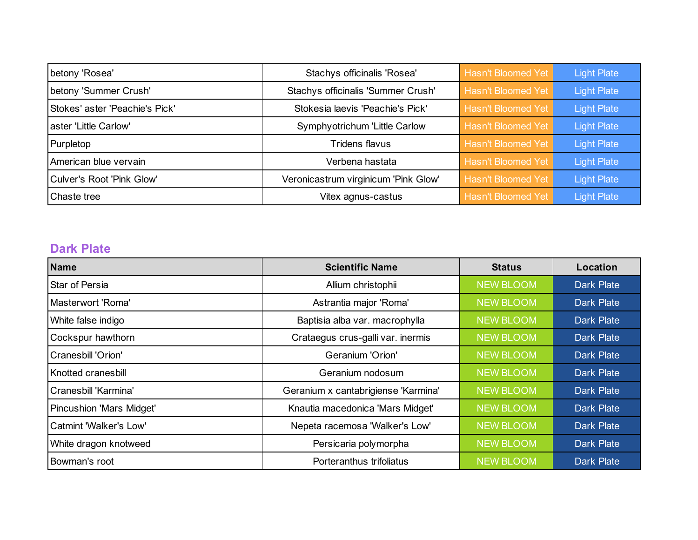| betony 'Rosea'                 | Stachys officinalis 'Rosea'          | <b>Hasn't Bloomed Yet</b> | <b>Light Plate</b> |
|--------------------------------|--------------------------------------|---------------------------|--------------------|
| betony 'Summer Crush'          | Stachys officinalis 'Summer Crush'   | <b>Hasn't Bloomed Yet</b> | <b>Light Plate</b> |
| Stokes' aster 'Peachie's Pick' | Stokesia laevis 'Peachie's Pick'     | <b>Hasn't Bloomed Yet</b> | <b>Light Plate</b> |
| aster 'Little Carlow'          | Symphyotrichum 'Little Carlow        | <b>Hasn't Bloomed Yet</b> | <b>Light Plate</b> |
| Purpletop                      | Tridens flavus                       | <b>Hasn't Bloomed Yet</b> | <b>Light Plate</b> |
| American blue vervain          | Verbena hastata                      | <b>Hasn't Bloomed Yet</b> | <b>Light Plate</b> |
| Culver's Root 'Pink Glow'      | Veronicastrum virginicum 'Pink Glow' | Hasn't Bloomed Yet        | <b>Light Plate</b> |
| <b>Chaste tree</b>             | Vitex agnus-castus                   | <b>Hasn't Bloomed Yet</b> | <b>Light Plate</b> |

### **Dark Plate**

| <b>Name</b>              | <b>Scientific Name</b>              | <b>Status</b>    | Location          |
|--------------------------|-------------------------------------|------------------|-------------------|
| <b>Star of Persia</b>    | Allium christophii                  | <b>NEW BLOOM</b> | <b>Dark Plate</b> |
| Masterwort 'Roma'        | Astrantia major 'Roma'              | <b>NEW BLOOM</b> | <b>Dark Plate</b> |
| White false indigo       | Baptisia alba var. macrophylla      | <b>NEW BLOOM</b> | <b>Dark Plate</b> |
| Cockspur hawthorn        | Crataegus crus-galli var. inermis   | <b>NEW BLOOM</b> | <b>Dark Plate</b> |
| Cranesbill 'Orion'       | <b>Geranium 'Orion'</b>             | <b>NEW BLOOM</b> | <b>Dark Plate</b> |
| Knotted cranesbill       | Geranium nodosum                    | <b>NEW BLOOM</b> | <b>Dark Plate</b> |
| Cranesbill 'Karmina'     | Geranium x cantabrigiense 'Karmina' | <b>NEW BLOOM</b> | <b>Dark Plate</b> |
| Pincushion 'Mars Midget' | Knautia macedonica 'Mars Midget'    | <b>NEW BLOOM</b> | <b>Dark Plate</b> |
| Catmint 'Walker's Low'   | Nepeta racemosa 'Walker's Low'      | <b>NEW BLOOM</b> | <b>Dark Plate</b> |
| White dragon knotweed    | Persicaria polymorpha               | <b>NEW BLOOM</b> | <b>Dark Plate</b> |
| Bowman's root            | Porteranthus trifoliatus            | <b>NEW BLOOM</b> | <b>Dark Plate</b> |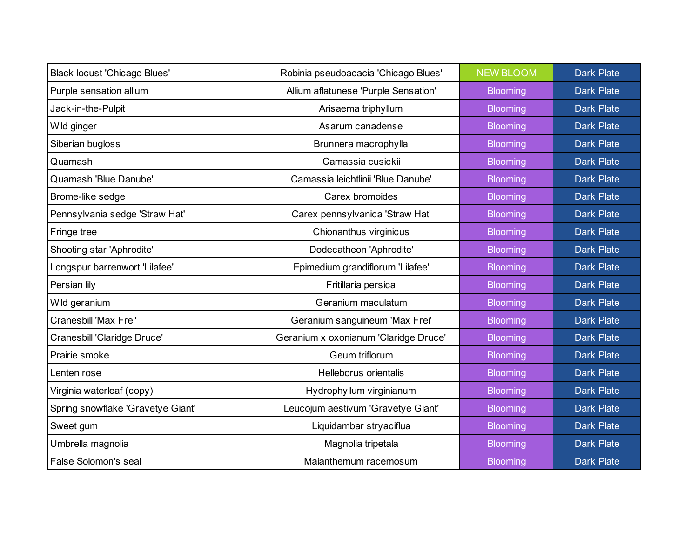| <b>Black locust 'Chicago Blues'</b> | Robinia pseudoacacia 'Chicago Blues'  | <b>NEW BLOOM</b> | <b>Dark Plate</b> |
|-------------------------------------|---------------------------------------|------------------|-------------------|
| Purple sensation allium             | Allium aflatunese 'Purple Sensation'  | <b>Blooming</b>  | <b>Dark Plate</b> |
| Jack-in-the-Pulpit                  | Arisaema triphyllum                   | <b>Blooming</b>  | <b>Dark Plate</b> |
| Wild ginger                         | Asarum canadense                      | <b>Blooming</b>  | <b>Dark Plate</b> |
| Siberian bugloss                    | Brunnera macrophylla                  | <b>Blooming</b>  | <b>Dark Plate</b> |
| Quamash                             | Camassia cusickii                     | <b>Blooming</b>  | <b>Dark Plate</b> |
| Quamash 'Blue Danube'               | Camassia leichtlinii 'Blue Danube'    | <b>Blooming</b>  | <b>Dark Plate</b> |
| Brome-like sedge                    | Carex bromoides                       | <b>Blooming</b>  | <b>Dark Plate</b> |
| Pennsylvania sedge 'Straw Hat'      | Carex pennsylvanica 'Straw Hat'       | <b>Blooming</b>  | <b>Dark Plate</b> |
| Fringe tree                         | Chionanthus virginicus                | <b>Blooming</b>  | <b>Dark Plate</b> |
| Shooting star 'Aphrodite'           | Dodecatheon 'Aphrodite'               | <b>Blooming</b>  | <b>Dark Plate</b> |
| Longspur barrenwort 'Lilafee'       | Epimedium grandiflorum 'Lilafee'      | <b>Blooming</b>  | <b>Dark Plate</b> |
| Persian lily                        | Fritillaria persica                   | <b>Blooming</b>  | <b>Dark Plate</b> |
| Wild geranium                       | Geranium maculatum                    | <b>Blooming</b>  | <b>Dark Plate</b> |
| Cranesbill 'Max Frei'               | Geranium sanguineum 'Max Frei'        | <b>Blooming</b>  | <b>Dark Plate</b> |
| Cranesbill 'Claridge Druce'         | Geranium x oxonianum 'Claridge Druce' | <b>Blooming</b>  | <b>Dark Plate</b> |
| Prairie smoke                       | Geum triflorum                        | <b>Blooming</b>  | <b>Dark Plate</b> |
| Lenten rose                         | Helleborus orientalis                 | <b>Blooming</b>  | <b>Dark Plate</b> |
| Virginia waterleaf (copy)           | Hydrophyllum virginianum              | <b>Blooming</b>  | <b>Dark Plate</b> |
| Spring snowflake 'Gravetye Giant'   | Leucojum aestivum 'Gravetye Giant'    | <b>Blooming</b>  | <b>Dark Plate</b> |
| Sweet gum                           | Liquidambar stryaciflua               | <b>Blooming</b>  | <b>Dark Plate</b> |
| Umbrella magnolia                   | Magnolia tripetala                    | <b>Blooming</b>  | <b>Dark Plate</b> |
| <b>False Solomon's seal</b>         | Maianthemum racemosum                 | <b>Blooming</b>  | <b>Dark Plate</b> |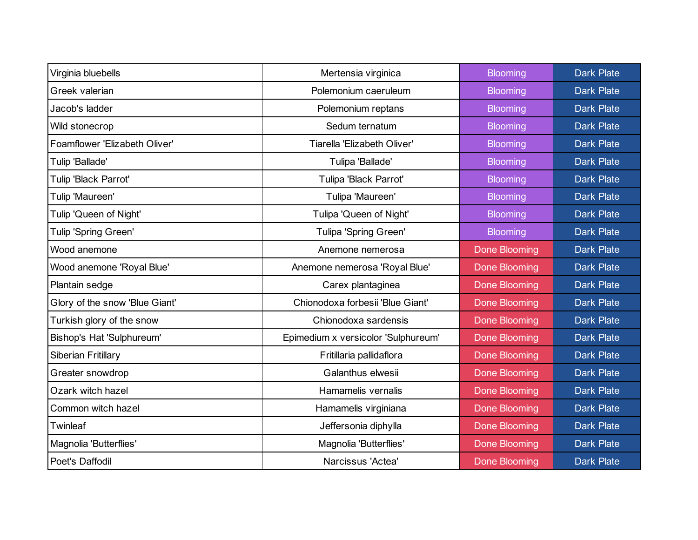| Virginia bluebells             | Mertensia virginica                 | <b>Blooming</b>      | <b>Dark Plate</b> |
|--------------------------------|-------------------------------------|----------------------|-------------------|
| Greek valerian                 | Polemonium caeruleum                | <b>Blooming</b>      | <b>Dark Plate</b> |
| Jacob's ladder                 | Polemonium reptans                  | <b>Blooming</b>      | <b>Dark Plate</b> |
| Wild stonecrop                 | Sedum ternatum                      | <b>Blooming</b>      | <b>Dark Plate</b> |
| Foamflower 'Elizabeth Oliver'  | Tiarella 'Elizabeth Oliver'         | <b>Blooming</b>      | <b>Dark Plate</b> |
| Tulip 'Ballade'                | Tulipa 'Ballade'                    | <b>Blooming</b>      | <b>Dark Plate</b> |
| Tulip 'Black Parrot'           | Tulipa 'Black Parrot'               | <b>Blooming</b>      | <b>Dark Plate</b> |
| Tulip 'Maureen'                | Tulipa 'Maureen'                    | <b>Blooming</b>      | <b>Dark Plate</b> |
| Tulip 'Queen of Night'         | Tulipa 'Queen of Night'             | <b>Blooming</b>      | <b>Dark Plate</b> |
| Tulip 'Spring Green'           | <b>Tulipa 'Spring Green'</b>        | <b>Blooming</b>      | <b>Dark Plate</b> |
| Wood anemone                   | Anemone nemerosa                    | <b>Done Blooming</b> | <b>Dark Plate</b> |
| Wood anemone 'Royal Blue'      | Anemone nemerosa 'Royal Blue'       | <b>Done Blooming</b> | <b>Dark Plate</b> |
| Plantain sedge                 | Carex plantaginea                   | <b>Done Blooming</b> | <b>Dark Plate</b> |
| Glory of the snow 'Blue Giant' | Chionodoxa forbesii 'Blue Giant'    | <b>Done Blooming</b> | <b>Dark Plate</b> |
| Turkish glory of the snow      | Chionodoxa sardensis                | <b>Done Blooming</b> | <b>Dark Plate</b> |
| Bishop's Hat 'Sulphureum'      | Epimedium x versicolor 'Sulphureum' | <b>Done Blooming</b> | <b>Dark Plate</b> |
| Siberian Fritillary            | Fritillaria pallidaflora            | <b>Done Blooming</b> | <b>Dark Plate</b> |
| Greater snowdrop               | Galanthus elwesii                   | <b>Done Blooming</b> | <b>Dark Plate</b> |
| Ozark witch hazel              | Hamamelis vernalis                  | Done Blooming        | <b>Dark Plate</b> |
| Common witch hazel             | Hamamelis virginiana                | <b>Done Blooming</b> | <b>Dark Plate</b> |
| Twinleaf                       | Jeffersonia diphylla                | <b>Done Blooming</b> | <b>Dark Plate</b> |
| Magnolia 'Butterflies'         | Magnolia 'Butterflies'              | <b>Done Blooming</b> | <b>Dark Plate</b> |
| Poet's Daffodil                | Narcissus 'Actea'                   | <b>Done Blooming</b> | <b>Dark Plate</b> |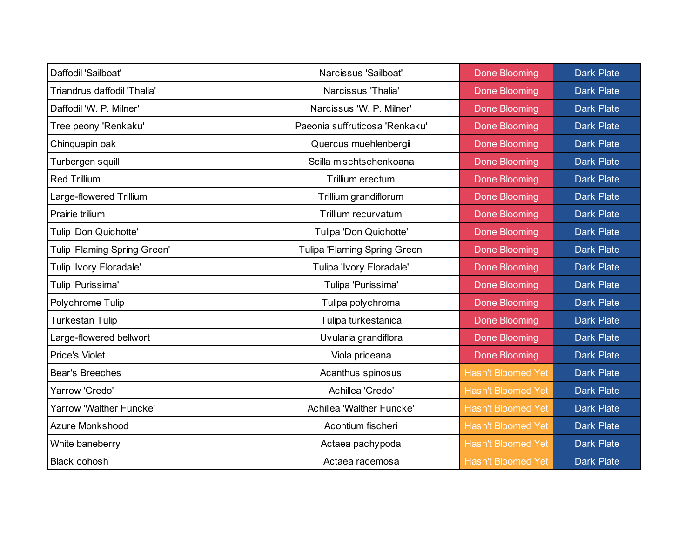| Daffodil 'Sailboat'          | Narcissus 'Sailboat'           | <b>Done Blooming</b>      | <b>Dark Plate</b> |
|------------------------------|--------------------------------|---------------------------|-------------------|
| Triandrus daffodil 'Thalia'  | Narcissus 'Thalia'             | <b>Done Blooming</b>      | <b>Dark Plate</b> |
| Daffodil 'W. P. Milner'      | Narcissus 'W. P. Milner'       | <b>Done Blooming</b>      | <b>Dark Plate</b> |
| Tree peony 'Renkaku'         | Paeonia suffruticosa 'Renkaku' | <b>Done Blooming</b>      | <b>Dark Plate</b> |
| Chinquapin oak               | Quercus muehlenbergii          | <b>Done Blooming</b>      | <b>Dark Plate</b> |
| Turbergen squill             | Scilla mischtschenkoana        | <b>Done Blooming</b>      | <b>Dark Plate</b> |
| <b>Red Trillium</b>          | Trillium erectum               | <b>Done Blooming</b>      | <b>Dark Plate</b> |
| Large-flowered Trillium      | Trillium grandiflorum          | <b>Done Blooming</b>      | <b>Dark Plate</b> |
| Prairie trilium              | Trillium recurvatum            | <b>Done Blooming</b>      | <b>Dark Plate</b> |
| Tulip 'Don Quichotte'        | Tulipa 'Don Quichotte'         | <b>Done Blooming</b>      | <b>Dark Plate</b> |
| Tulip 'Flaming Spring Green' | Tulipa 'Flaming Spring Green'  | <b>Done Blooming</b>      | <b>Dark Plate</b> |
| Tulip 'Ivory Floradale'      | Tulipa 'Ivory Floradale'       | <b>Done Blooming</b>      | <b>Dark Plate</b> |
| Tulip 'Purissima'            | Tulipa 'Purissima'             | <b>Done Blooming</b>      | <b>Dark Plate</b> |
| Polychrome Tulip             | Tulipa polychroma              | <b>Done Blooming</b>      | <b>Dark Plate</b> |
| <b>Turkestan Tulip</b>       | Tulipa turkestanica            | Done Blooming             | <b>Dark Plate</b> |
| Large-flowered bellwort      | Uvularia grandiflora           | <b>Done Blooming</b>      | <b>Dark Plate</b> |
| <b>Price's Violet</b>        | Viola priceana                 | <b>Done Blooming</b>      | <b>Dark Plate</b> |
| <b>Bear's Breeches</b>       | Acanthus spinosus              | <b>Hasn't Bloomed Yet</b> | <b>Dark Plate</b> |
| Yarrow 'Credo'               | Achillea 'Credo'               | <b>Hasn't Bloomed Yet</b> | <b>Dark Plate</b> |
| Yarrow 'Walther Funcke'      | Achillea 'Walther Funcke'      | <b>Hasn't Bloomed Yet</b> | <b>Dark Plate</b> |
| <b>Azure Monkshood</b>       | Acontium fischeri              | <b>Hasn't Bloomed Yet</b> | <b>Dark Plate</b> |
| White baneberry              | Actaea pachypoda               | <b>Hasn't Bloomed Yet</b> | <b>Dark Plate</b> |
| <b>Black cohosh</b>          | Actaea racemosa                | <b>Hasn't Bloomed Yet</b> | <b>Dark Plate</b> |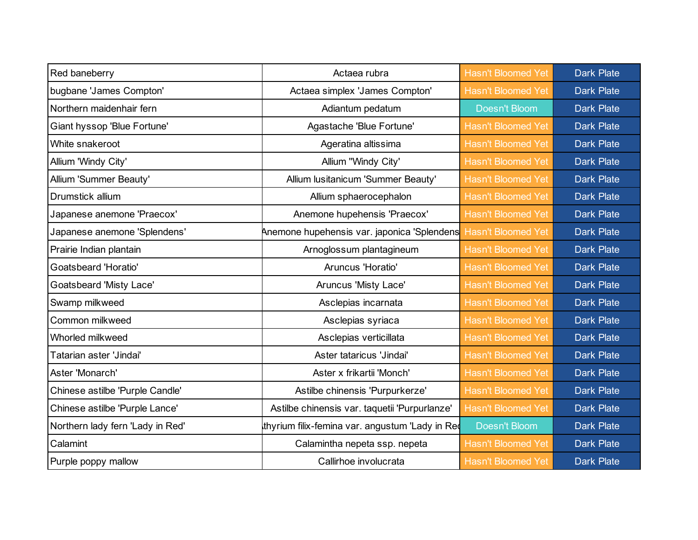| Red baneberry                    | Actaea rubra                                    | <b>Hasn't Bloomed Yet</b> | <b>Dark Plate</b> |
|----------------------------------|-------------------------------------------------|---------------------------|-------------------|
| bugbane 'James Compton'          | Actaea simplex 'James Compton'                  | <b>Hasn't Bloomed Yet</b> | <b>Dark Plate</b> |
| Northern maidenhair fern         | Adiantum pedatum                                | Doesn't Bloom             | <b>Dark Plate</b> |
| Giant hyssop 'Blue Fortune'      | Agastache 'Blue Fortune'                        | <b>Hasn't Bloomed Yet</b> | <b>Dark Plate</b> |
| White snakeroot                  | Ageratina altissima                             | <b>Hasn't Bloomed Yet</b> | <b>Dark Plate</b> |
| Allium 'Windy City'              | Allium "Windy City"                             | <b>Hasn't Bloomed Yet</b> | <b>Dark Plate</b> |
| Allium 'Summer Beauty'           | Allium lusitanicum 'Summer Beauty'              | <b>Hasn't Bloomed Yet</b> | <b>Dark Plate</b> |
| Drumstick allium                 | Allium sphaerocephalon                          | <b>Hasn't Bloomed Yet</b> | <b>Dark Plate</b> |
| Japanese anemone 'Praecox'       | Anemone hupehensis 'Praecox'                    | <b>Hasn't Bloomed Yet</b> | <b>Dark Plate</b> |
| Japanese anemone 'Splendens'     | Anemone hupehensis var. japonica 'Splendens     | <b>Hasn't Bloomed Yet</b> | <b>Dark Plate</b> |
| Prairie Indian plantain          | Arnoglossum plantagineum                        | <b>Hasn't Bloomed Yet</b> | <b>Dark Plate</b> |
| <b>Goatsbeard 'Horatio'</b>      | Aruncus 'Horatio'                               | <b>Hasn't Bloomed Yet</b> | <b>Dark Plate</b> |
| <b>Goatsbeard 'Misty Lace'</b>   | Aruncus 'Misty Lace'                            | <b>Hasn't Bloomed Yet</b> | <b>Dark Plate</b> |
| Swamp milkweed                   | Asclepias incarnata                             | <b>Hasn't Bloomed Yet</b> | <b>Dark Plate</b> |
| Common milkweed                  | Asclepias syriaca                               | <b>Hasn't Bloomed Yet</b> | <b>Dark Plate</b> |
| Whorled milkweed                 | Asclepias verticillata                          | <b>Hasn't Bloomed Yet</b> | <b>Dark Plate</b> |
| Tatarian aster 'Jindai'          | Aster tataricus 'Jindai'                        | <b>Hasn't Bloomed Yet</b> | <b>Dark Plate</b> |
| Aster 'Monarch'                  | Aster x frikartii 'Monch'                       | <b>Hasn't Bloomed Yet</b> | <b>Dark Plate</b> |
| Chinese astilbe 'Purple Candle'  | Astilbe chinensis 'Purpurkerze'                 | <b>Hasn't Bloomed Yet</b> | <b>Dark Plate</b> |
| Chinese astilbe 'Purple Lance'   | Astilbe chinensis var. taquetii 'Purpurlanze'   | <b>Hasn't Bloomed Yet</b> | <b>Dark Plate</b> |
| Northern lady fern 'Lady in Red' | thyrium filix-femina var. angustum 'Lady in Red | Doesn't Bloom             | <b>Dark Plate</b> |
| Calamint                         | Calamintha nepeta ssp. nepeta                   | <b>Hasn't Bloomed Yet</b> | <b>Dark Plate</b> |
| Purple poppy mallow              | Callirhoe involucrata                           | <b>Hasn't Bloomed Yet</b> | <b>Dark Plate</b> |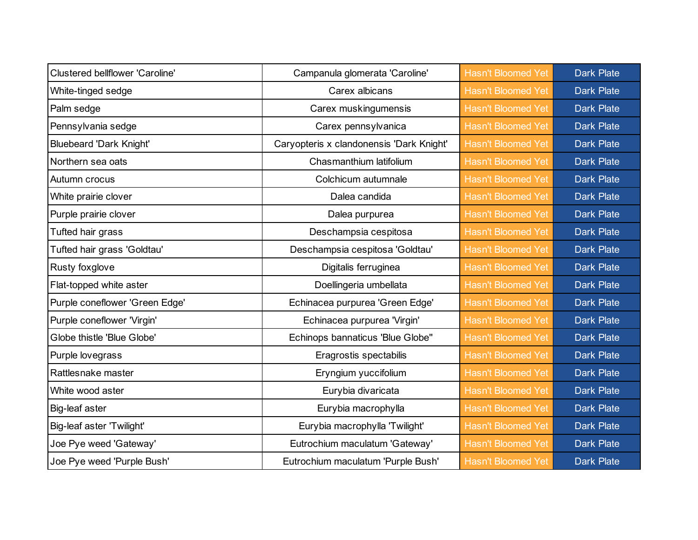| <b>Clustered bellflower 'Caroline'</b> | Campanula glomerata 'Caroline'           | <b>Hasn't Bloomed Yet</b> | <b>Dark Plate</b> |
|----------------------------------------|------------------------------------------|---------------------------|-------------------|
| White-tinged sedge                     | Carex albicans                           | <b>Hasn't Bloomed Yet</b> | <b>Dark Plate</b> |
| Palm sedge                             | Carex muskingumensis                     | <b>Hasn't Bloomed Yet</b> | <b>Dark Plate</b> |
| Pennsylvania sedge                     | Carex pennsylvanica                      | <b>Hasn't Bloomed Yet</b> | <b>Dark Plate</b> |
| <b>Bluebeard 'Dark Knight'</b>         | Caryopteris x clandonensis 'Dark Knight' | <b>Hasn't Bloomed Yet</b> | <b>Dark Plate</b> |
| Northern sea oats                      | Chasmanthium latifolium                  | <b>Hasn't Bloomed Yet</b> | <b>Dark Plate</b> |
| Autumn crocus                          | Colchicum autumnale                      | <b>Hasn't Bloomed Yet</b> | <b>Dark Plate</b> |
| White prairie clover                   | Dalea candida                            | <b>Hasn't Bloomed Yet</b> | <b>Dark Plate</b> |
| Purple prairie clover                  | Dalea purpurea                           | <b>Hasn't Bloomed Yet</b> | <b>Dark Plate</b> |
| Tufted hair grass                      | Deschampsia cespitosa                    | <b>Hasn't Bloomed Yet</b> | <b>Dark Plate</b> |
| Tufted hair grass 'Goldtau'            | Deschampsia cespitosa 'Goldtau'          | <b>Hasn't Bloomed Yet</b> | <b>Dark Plate</b> |
| Rusty foxglove                         | Digitalis ferruginea                     | <b>Hasn't Bloomed Yet</b> | <b>Dark Plate</b> |
| Flat-topped white aster                | Doellingeria umbellata                   | <b>Hasn't Bloomed Yet</b> | <b>Dark Plate</b> |
| Purple coneflower 'Green Edge'         | Echinacea purpurea 'Green Edge'          | <b>Hasn't Bloomed Yet</b> | <b>Dark Plate</b> |
| Purple coneflower 'Virgin'             | Echinacea purpurea 'Virgin'              | <b>Hasn't Bloomed Yet</b> | <b>Dark Plate</b> |
| Globe thistle 'Blue Globe'             | Echinops bannaticus 'Blue Globe"         | <b>Hasn't Bloomed Yet</b> | <b>Dark Plate</b> |
| Purple lovegrass                       | Eragrostis spectabilis                   | <b>Hasn't Bloomed Yet</b> | <b>Dark Plate</b> |
| Rattlesnake master                     | Eryngium yuccifolium                     | <b>Hasn't Bloomed Yet</b> | <b>Dark Plate</b> |
| White wood aster                       | Eurybia divaricata                       | <b>Hasn't Bloomed Yet</b> | <b>Dark Plate</b> |
| Big-leaf aster                         | Eurybia macrophylla                      | <b>Hasn't Bloomed Yet</b> | <b>Dark Plate</b> |
| Big-leaf aster 'Twilight'              | Eurybia macrophylla 'Twilight'           | <b>Hasn't Bloomed Yet</b> | <b>Dark Plate</b> |
| Joe Pye weed 'Gateway'                 | Eutrochium maculatum 'Gateway'           | <b>Hasn't Bloomed Yet</b> | <b>Dark Plate</b> |
| Joe Pye weed 'Purple Bush'             | Eutrochium maculatum 'Purple Bush'       | <b>Hasn't Bloomed Yet</b> | <b>Dark Plate</b> |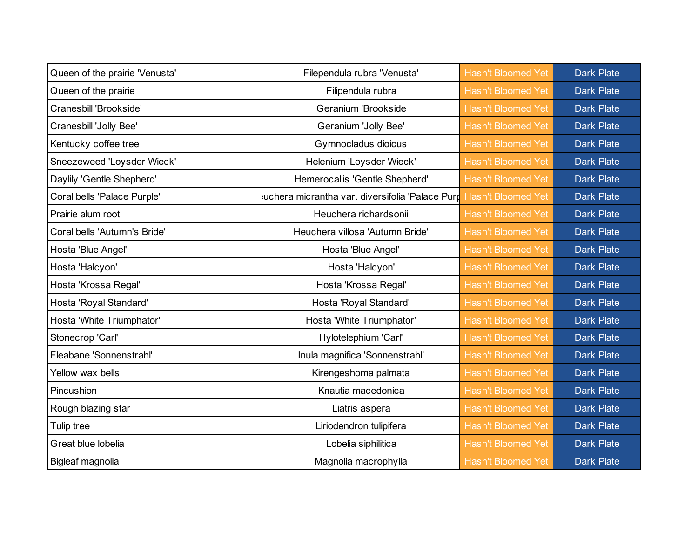| Queen of the prairie 'Venusta' | Filependula rubra 'Venusta'                     | <b>Hasn't Bloomed Yet</b> | <b>Dark Plate</b> |
|--------------------------------|-------------------------------------------------|---------------------------|-------------------|
| Queen of the prairie           | Filipendula rubra                               | <b>Hasn't Bloomed Yet</b> | <b>Dark Plate</b> |
| Cranesbill 'Brookside'         | Geranium 'Brookside                             | <b>Hasn't Bloomed Yet</b> | <b>Dark Plate</b> |
| Cranesbill 'Jolly Bee'         | Geranium 'Jolly Bee'                            | <b>Hasn't Bloomed Yet</b> | <b>Dark Plate</b> |
| Kentucky coffee tree           | Gymnocladus dioicus                             | <b>Hasn't Bloomed Yet</b> | <b>Dark Plate</b> |
| Sneezeweed 'Loysder Wieck'     | Helenium 'Loysder Wieck'                        | <b>Hasn't Bloomed Yet</b> | <b>Dark Plate</b> |
| Daylily 'Gentle Shepherd'      | Hemerocallis 'Gentle Shepherd'                  | <b>Hasn't Bloomed Yet</b> | <b>Dark Plate</b> |
| Coral bells 'Palace Purple'    | uchera micrantha var. diversifolia 'Palace Purp | <b>Hasn't Bloomed Yet</b> | <b>Dark Plate</b> |
| Prairie alum root              | Heuchera richardsonii                           | <b>Hasn't Bloomed Yet</b> | <b>Dark Plate</b> |
| Coral bells 'Autumn's Bride'   | Heuchera villosa 'Autumn Bride'                 | <b>Hasn't Bloomed Yet</b> | <b>Dark Plate</b> |
| Hosta 'Blue Angel'             | Hosta 'Blue Angel'                              | <b>Hasn't Bloomed Yet</b> | <b>Dark Plate</b> |
| Hosta 'Halcyon'                | Hosta 'Halcyon'                                 | <b>Hasn't Bloomed Yet</b> | <b>Dark Plate</b> |
| Hosta 'Krossa Regal'           | Hosta 'Krossa Regal'                            | <b>Hasn't Bloomed Yet</b> | <b>Dark Plate</b> |
| Hosta 'Royal Standard'         | Hosta 'Royal Standard'                          | <b>Hasn't Bloomed Yet</b> | <b>Dark Plate</b> |
| Hosta 'White Triumphator'      | Hosta 'White Triumphator'                       | <b>Hasn't Bloomed Yet</b> | <b>Dark Plate</b> |
| Stonecrop 'Carl'               | Hylotelephium 'Carl'                            | <b>Hasn't Bloomed Yet</b> | <b>Dark Plate</b> |
| Fleabane 'Sonnenstrahl'        | Inula magnifica 'Sonnenstrahl'                  | <b>Hasn't Bloomed Yet</b> | <b>Dark Plate</b> |
| Yellow wax bells               | Kirengeshoma palmata                            | <b>Hasn't Bloomed Yet</b> | <b>Dark Plate</b> |
| Pincushion                     | Knautia macedonica                              | <b>Hasn't Bloomed Yet</b> | <b>Dark Plate</b> |
| Rough blazing star             | Liatris aspera                                  | <b>Hasn't Bloomed Yet</b> | <b>Dark Plate</b> |
| Tulip tree                     | Liriodendron tulipifera                         | <b>Hasn't Bloomed Yet</b> | <b>Dark Plate</b> |
| Great blue lobelia             | Lobelia siphilitica                             | <b>Hasn't Bloomed Yet</b> | <b>Dark Plate</b> |
| Bigleaf magnolia               | Magnolia macrophylla                            | <b>Hasn't Bloomed Yet</b> | <b>Dark Plate</b> |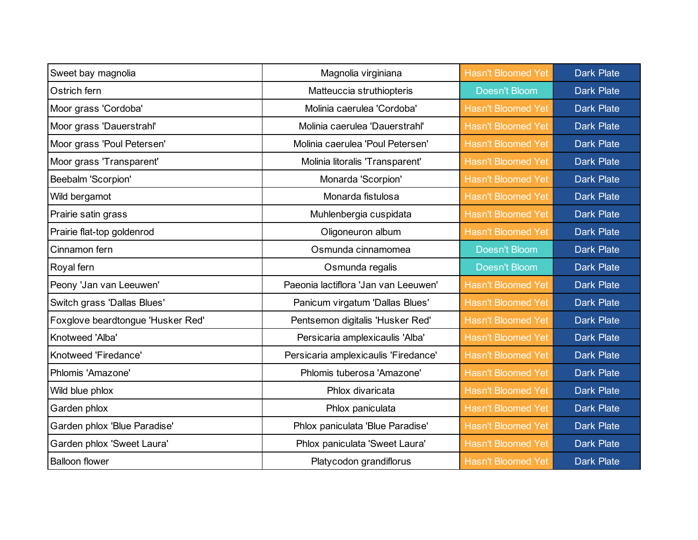| Sweet bay magnolia                | Magnolia virginiana                  | <b>Hasn't Bloomed Yet</b> | <b>Dark Plate</b> |
|-----------------------------------|--------------------------------------|---------------------------|-------------------|
| Ostrich fern                      | Matteuccia struthiopteris            | Doesn't Bloom             | <b>Dark Plate</b> |
| Moor grass 'Cordoba'              | Molinia caerulea 'Cordoba'           | <b>Hasn't Bloomed Yet</b> | <b>Dark Plate</b> |
| Moor grass 'Dauerstrahl'          | Molinia caerulea 'Dauerstrahl'       | <b>Hasn't Bloomed Yet</b> | <b>Dark Plate</b> |
| Moor grass 'Poul Petersen'        | Molinia caerulea 'Poul Petersen'     | <b>Hasn't Bloomed Yet</b> | <b>Dark Plate</b> |
| Moor grass 'Transparent'          | Molinia litoralis 'Transparent'      | <b>Hasn't Bloomed Yet</b> | <b>Dark Plate</b> |
| Beebalm 'Scorpion'                | Monarda 'Scorpion'                   | <b>Hasn't Bloomed Yet</b> | <b>Dark Plate</b> |
| Wild bergamot                     | Monarda fistulosa                    | <b>Hasn't Bloomed Yet</b> | <b>Dark Plate</b> |
| Prairie satin grass               | Muhlenbergia cuspidata               | <b>Hasn't Bloomed Yet</b> | <b>Dark Plate</b> |
| Prairie flat-top goldenrod        | Oligoneuron album                    | <b>Hasn't Bloomed Yet</b> | <b>Dark Plate</b> |
| Cinnamon fern                     | Osmunda cinnamomea                   | Doesn't Bloom             | <b>Dark Plate</b> |
| Royal fern                        | Osmunda regalis                      | Doesn't Bloom             | <b>Dark Plate</b> |
| Peony 'Jan van Leeuwen'           | Paeonia lactiflora 'Jan van Leeuwen' | <b>Hasn't Bloomed Yet</b> | <b>Dark Plate</b> |
| Switch grass 'Dallas Blues'       | Panicum virgatum 'Dallas Blues'      | <b>Hasn't Bloomed Yet</b> | <b>Dark Plate</b> |
| Foxglove beardtongue 'Husker Red' | Pentsemon digitalis 'Husker Red'     | <b>Hasn't Bloomed Yet</b> | <b>Dark Plate</b> |
| Knotweed 'Alba'                   | Persicaria amplexicaulis 'Alba'      | <b>Hasn't Bloomed Yet</b> | <b>Dark Plate</b> |
| Knotweed 'Firedance'              | Persicaria amplexicaulis 'Firedance' | <b>Hasn't Bloomed Yet</b> | <b>Dark Plate</b> |
| Phlomis 'Amazone'                 | Phlomis tuberosa 'Amazone'           | <b>Hasn't Bloomed Yet</b> | <b>Dark Plate</b> |
| Wild blue phlox                   | Phlox divaricata                     | <b>Hasn't Bloomed Yet</b> | <b>Dark Plate</b> |
| Garden phlox                      | Phlox paniculata                     | <b>Hasn't Bloomed Yet</b> | <b>Dark Plate</b> |
| Garden phlox 'Blue Paradise'      | Phlox paniculata 'Blue Paradise'     | <b>Hasn't Bloomed Yet</b> | <b>Dark Plate</b> |
| Garden phlox 'Sweet Laura'        | Phlox paniculata 'Sweet Laura'       | <b>Hasn't Bloomed Yet</b> | <b>Dark Plate</b> |
| <b>Balloon flower</b>             | Platycodon grandiflorus              | <b>Hasn't Bloomed Yet</b> | <b>Dark Plate</b> |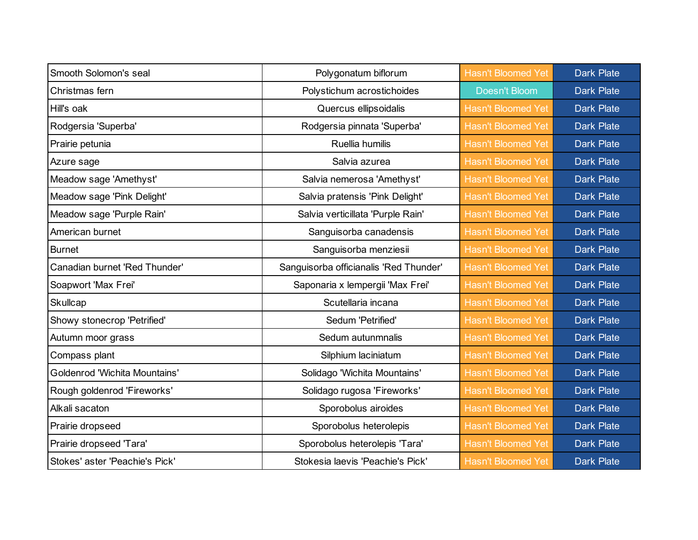| Smooth Solomon's seal                | Polygonatum biflorum                   | <b>Hasn't Bloomed Yet</b> | Dark Plate        |
|--------------------------------------|----------------------------------------|---------------------------|-------------------|
| Christmas fern                       | Polystichum acrostichoides             | Doesn't Bloom             | <b>Dark Plate</b> |
| Hill's oak                           | Quercus ellipsoidalis                  | <b>Hasn't Bloomed Yet</b> | <b>Dark Plate</b> |
| Rodgersia 'Superba'                  | Rodgersia pinnata 'Superba'            | <b>Hasn't Bloomed Yet</b> | <b>Dark Plate</b> |
| Prairie petunia                      | Ruellia humilis                        | <b>Hasn't Bloomed Yet</b> | <b>Dark Plate</b> |
| Azure sage                           | Salvia azurea                          | <b>Hasn't Bloomed Yet</b> | <b>Dark Plate</b> |
| Meadow sage 'Amethyst'               | Salvia nemerosa 'Amethyst'             | <b>Hasn't Bloomed Yet</b> | <b>Dark Plate</b> |
| Meadow sage 'Pink Delight'           | Salvia pratensis 'Pink Delight'        | <b>Hasn't Bloomed Yet</b> | <b>Dark Plate</b> |
| Meadow sage 'Purple Rain'            | Salvia verticillata 'Purple Rain'      | <b>Hasn't Bloomed Yet</b> | <b>Dark Plate</b> |
| American burnet                      | Sanguisorba canadensis                 | <b>Hasn't Bloomed Yet</b> | <b>Dark Plate</b> |
| <b>Burnet</b>                        | Sanguisorba menziesii                  | <b>Hasn't Bloomed Yet</b> | <b>Dark Plate</b> |
| Canadian burnet 'Red Thunder'        | Sanguisorba officianalis 'Red Thunder' | <b>Hasn't Bloomed Yet</b> | <b>Dark Plate</b> |
| Soapwort 'Max Frei'                  | Saponaria x lempergii 'Max Frei'       | <b>Hasn't Bloomed Yet</b> | <b>Dark Plate</b> |
| Skullcap                             | Scutellaria incana                     | <b>Hasn't Bloomed Yet</b> | <b>Dark Plate</b> |
| Showy stonecrop 'Petrified'          | Sedum 'Petrified'                      | <b>Hasn't Bloomed Yet</b> | <b>Dark Plate</b> |
| Autumn moor grass                    | Sedum autunmnalis                      | <b>Hasn't Bloomed Yet</b> | <b>Dark Plate</b> |
| Compass plant                        | Silphium laciniatum                    | <b>Hasn't Bloomed Yet</b> | <b>Dark Plate</b> |
| <b>Goldenrod 'Wichita Mountains'</b> | Solidago 'Wichita Mountains'           | <b>Hasn't Bloomed Yet</b> | <b>Dark Plate</b> |
| Rough goldenrod 'Fireworks'          | Solidago rugosa 'Fireworks'            | <b>Hasn't Bloomed Yet</b> | <b>Dark Plate</b> |
| Alkali sacaton                       | Sporobolus airoides                    | <b>Hasn't Bloomed Yet</b> | <b>Dark Plate</b> |
| Prairie dropseed                     | Sporobolus heterolepis                 | <b>Hasn't Bloomed Yet</b> | <b>Dark Plate</b> |
| Prairie dropseed 'Tara'              | Sporobolus heterolepis 'Tara'          | <b>Hasn't Bloomed Yet</b> | <b>Dark Plate</b> |
| Stokes' aster 'Peachie's Pick'       | Stokesia laevis 'Peachie's Pick'       | <b>Hasn't Bloomed Yet</b> | <b>Dark Plate</b> |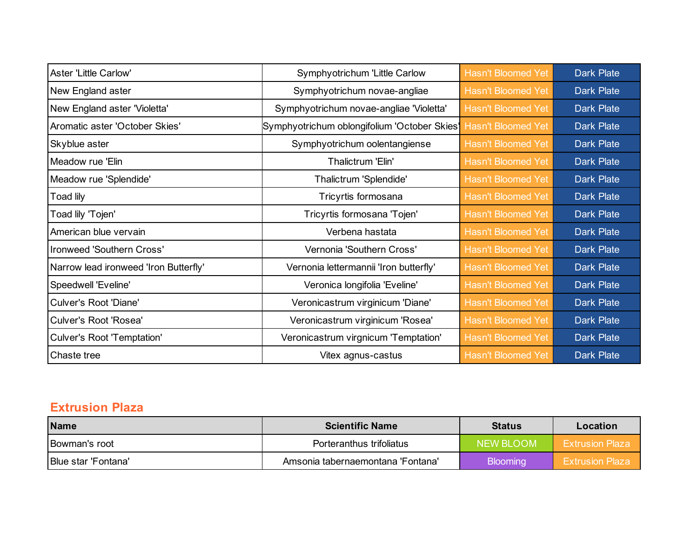| Aster 'Little Carlow'                 | Symphyotrichum 'Little Carlow                | <b>Hasn't Bloomed Yet</b> | <b>Dark Plate</b> |
|---------------------------------------|----------------------------------------------|---------------------------|-------------------|
| New England aster                     | Symphyotrichum novae-angliae                 | <b>Hasn't Bloomed Yet</b> | <b>Dark Plate</b> |
| New England aster 'Violetta'          | Symphyotrichum novae-angliae 'Violetta'      | <b>Hasn't Bloomed Yet</b> | Dark Plate        |
| Aromatic aster 'October Skies'        | Symphyotrichum oblongifolium 'October Skies' | <b>Hasn't Bloomed Yet</b> | Dark Plate        |
| Skyblue aster                         | Symphyotrichum oolentangiense                | <b>Hasn't Bloomed Yet</b> | <b>Dark Plate</b> |
| Meadow rue 'Elin                      | Thalictrum 'Elin'                            | <b>Hasn't Bloomed Yet</b> | <b>Dark Plate</b> |
| Meadow rue 'Splendide'                | Thalictrum 'Splendide'                       | <b>Hasn't Bloomed Yet</b> | <b>Dark Plate</b> |
| Toad lily                             | Tricyrtis formosana                          | <b>Hasn't Bloomed Yet</b> | Dark Plate        |
| Toad lily 'Tojen'                     | Tricyrtis formosana 'Tojen'                  | <b>Hasn't Bloomed Yet</b> | Dark Plate        |
| American blue vervain                 | Verbena hastata                              | <b>Hasn't Bloomed Yet</b> | <b>Dark Plate</b> |
| Ironweed 'Southern Cross'             | Vernonia 'Southern Cross'                    | <b>Hasn't Bloomed Yet</b> | <b>Dark Plate</b> |
| Narrow lead ironweed 'Iron Butterfly' | Vernonia lettermannii 'Iron butterfly'       | <b>Hasn't Bloomed Yet</b> | <b>Dark Plate</b> |
| Speedwell 'Eveline'                   | Veronica longifolia 'Eveline'                | <b>Hasn't Bloomed Yet</b> | <b>Dark Plate</b> |
| <b>Culver's Root 'Diane'</b>          | Veronicastrum virginicum 'Diane'             | <b>Hasn't Bloomed Yet</b> | Dark Plate        |
| Culver's Root 'Rosea'                 | Veronicastrum virginicum 'Rosea'             | <b>Hasn't Bloomed Yet</b> | <b>Dark Plate</b> |
| <b>Culver's Root 'Temptation'</b>     | Veronicastrum virgnicum 'Temptation'         | <b>Hasn't Bloomed Yet</b> | <b>Dark Plate</b> |
| Chaste tree                           | Vitex agnus-castus                           | <b>Hasn't Bloomed Yet</b> | <b>Dark Plate</b> |

### **Extrusion Plaza**

| Name                | <b>Scientific Name</b>            | <b>Status</b>   | Location               |
|---------------------|-----------------------------------|-----------------|------------------------|
| Bowman's root       | Porteranthus trifoliatus          | NEW BLOOM       | <b>Extrusion Plaza</b> |
| Blue star 'Fontana' | Amsonia tabernaemontana 'Fontana' | <b>Blooming</b> | <b>Extrusion Plaza</b> |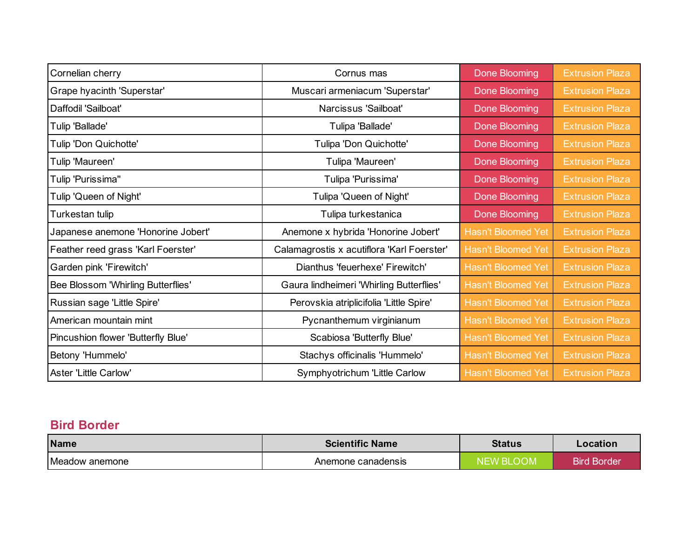| Cornelian cherry                   | Cornus mas                                 | Done Blooming             | <b>Extrusion Plaza</b> |
|------------------------------------|--------------------------------------------|---------------------------|------------------------|
| Grape hyacinth 'Superstar'         | Muscari armeniacum 'Superstar'             | Done Blooming             | <b>Extrusion Plaza</b> |
| Daffodil 'Sailboat'                | Narcissus 'Sailboat'                       | Done Blooming             | <b>Extrusion Plaza</b> |
| Tulip 'Ballade'                    | Tulipa 'Ballade'                           | Done Blooming             | <b>Extrusion Plaza</b> |
| Tulip 'Don Quichotte'              | Tulipa 'Don Quichotte'                     | Done Blooming             | <b>Extrusion Plaza</b> |
| Tulip 'Maureen'                    | Tulipa 'Maureen'                           | Done Blooming             | <b>Extrusion Plaza</b> |
| Tulip 'Purissima"                  | Tulipa 'Purissima'                         | Done Blooming             | <b>Extrusion Plaza</b> |
| Tulip 'Queen of Night'             | Tulipa 'Queen of Night'                    | Done Blooming             | <b>Extrusion Plaza</b> |
| Turkestan tulip                    | Tulipa turkestanica                        | Done Blooming             | <b>Extrusion Plaza</b> |
| Japanese anemone 'Honorine Jobert' | Anemone x hybrida 'Honorine Jobert'        | <b>Hasn't Bloomed Yet</b> | <b>Extrusion Plaza</b> |
| Feather reed grass 'Karl Foerster' | Calamagrostis x acutiflora 'Karl Foerster' | <b>Hasn't Bloomed Yet</b> | <b>Extrusion Plaza</b> |
| Garden pink 'Firewitch'            | Dianthus 'feuerhexe' Firewitch'            | <b>Hasn't Bloomed Yet</b> | <b>Extrusion Plaza</b> |
| Bee Blossom 'Whirling Butterflies' | Gaura lindheimeri 'Whirling Butterflies'   | <b>Hasn't Bloomed Yet</b> | <b>Extrusion Plaza</b> |
| Russian sage 'Little Spire'        | Perovskia atriplicifolia 'Little Spire'    | <b>Hasn't Bloomed Yet</b> | <b>Extrusion Plaza</b> |
| American mountain mint             | Pycnanthemum virginianum                   | <b>Hasn't Bloomed Yet</b> | <b>Extrusion Plaza</b> |
| Pincushion flower 'Butterfly Blue' | Scabiosa 'Butterfly Blue'                  | <b>Hasn't Bloomed Yet</b> | <b>Extrusion Plaza</b> |
| Betony 'Hummelo'                   | Stachys officinalis 'Hummelo'              | <b>Hasn't Bloomed Yet</b> | <b>Extrusion Plaza</b> |
| Aster 'Little Carlow'              | Symphyotrichum 'Little Carlow              | <b>Hasn't Bloomed Yet</b> | <b>Extrusion Plaza</b> |

#### **Bird Border**

| Name           | Scientific Name    | <b>Status</b>    | Location           |
|----------------|--------------------|------------------|--------------------|
| Meadow anemone | Anemone canadensis | <b>NEW BLOOM</b> | <b>Bird Border</b> |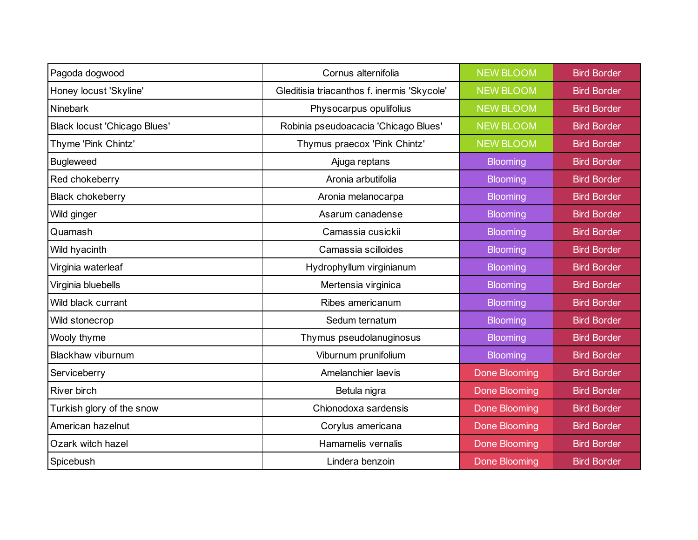| Pagoda dogwood                      | Cornus alternifolia                         | <b>NEW BLOOM</b>     | <b>Bird Border</b> |
|-------------------------------------|---------------------------------------------|----------------------|--------------------|
| Honey locust 'Skyline'              | Gleditisia triacanthos f. inermis 'Skycole' | <b>NEW BLOOM</b>     | <b>Bird Border</b> |
| Ninebark                            | Physocarpus opulifolius                     | <b>NEW BLOOM</b>     | <b>Bird Border</b> |
| <b>Black locust 'Chicago Blues'</b> | Robinia pseudoacacia 'Chicago Blues'        | <b>NEW BLOOM</b>     | <b>Bird Border</b> |
| Thyme 'Pink Chintz'                 | Thymus praecox 'Pink Chintz'                | <b>NEW BLOOM</b>     | <b>Bird Border</b> |
| <b>Bugleweed</b>                    | Ajuga reptans                               | <b>Blooming</b>      | <b>Bird Border</b> |
| Red chokeberry                      | Aronia arbutifolia                          | <b>Blooming</b>      | <b>Bird Border</b> |
| <b>Black chokeberry</b>             | Aronia melanocarpa                          | <b>Blooming</b>      | <b>Bird Border</b> |
| Wild ginger                         | Asarum canadense                            | <b>Blooming</b>      | <b>Bird Border</b> |
| Quamash                             | Camassia cusickii                           | <b>Blooming</b>      | <b>Bird Border</b> |
| Wild hyacinth                       | Camassia scilloides                         | <b>Blooming</b>      | <b>Bird Border</b> |
| Virginia waterleaf                  | Hydrophyllum virginianum                    | <b>Blooming</b>      | <b>Bird Border</b> |
| Virginia bluebells                  | Mertensia virginica                         | <b>Blooming</b>      | <b>Bird Border</b> |
| Wild black currant                  | Ribes americanum                            | <b>Blooming</b>      | <b>Bird Border</b> |
| Wild stonecrop                      | Sedum ternatum                              | <b>Blooming</b>      | <b>Bird Border</b> |
| Wooly thyme                         | Thymus pseudolanuginosus                    | <b>Blooming</b>      | <b>Bird Border</b> |
| Blackhaw viburnum                   | Viburnum prunifolium                        | <b>Blooming</b>      | <b>Bird Border</b> |
| Serviceberry                        | Amelanchier laevis                          | <b>Done Blooming</b> | <b>Bird Border</b> |
| River birch                         | Betula nigra                                | <b>Done Blooming</b> | <b>Bird Border</b> |
| Turkish glory of the snow           | Chionodoxa sardensis                        | <b>Done Blooming</b> | <b>Bird Border</b> |
| American hazelnut                   | Corylus americana                           | <b>Done Blooming</b> | <b>Bird Border</b> |
| Ozark witch hazel                   | Hamamelis vernalis                          | <b>Done Blooming</b> | <b>Bird Border</b> |
| Spicebush                           | Lindera benzoin                             | <b>Done Blooming</b> | <b>Bird Border</b> |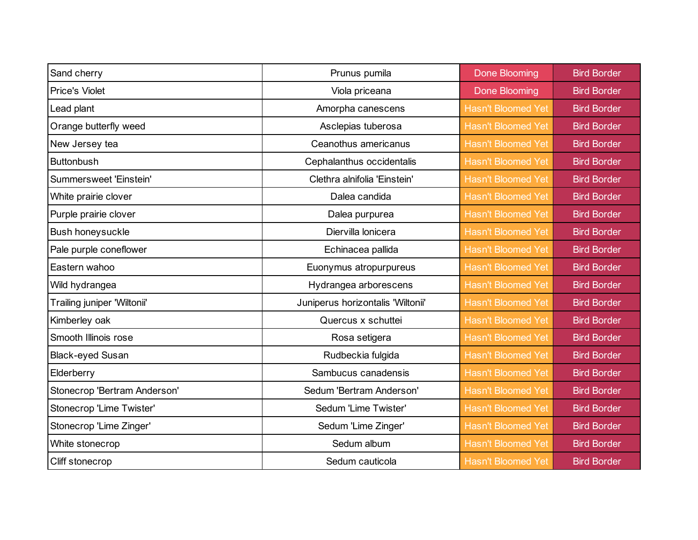| Sand cherry                  | Prunus pumila                     | <b>Done Blooming</b>      | <b>Bird Border</b> |
|------------------------------|-----------------------------------|---------------------------|--------------------|
| <b>Price's Violet</b>        | Viola priceana                    | <b>Done Blooming</b>      | <b>Bird Border</b> |
| Lead plant                   | Amorpha canescens                 | <b>Hasn't Bloomed Yet</b> | <b>Bird Border</b> |
| Orange butterfly weed        | Asclepias tuberosa                | <b>Hasn't Bloomed Yet</b> | <b>Bird Border</b> |
| New Jersey tea               | Ceanothus americanus              | <b>Hasn't Bloomed Yet</b> | <b>Bird Border</b> |
| <b>Buttonbush</b>            | Cephalanthus occidentalis         | <b>Hasn't Bloomed Yet</b> | <b>Bird Border</b> |
| Summersweet 'Einstein'       | Clethra alnifolia 'Einstein'      | <b>Hasn't Bloomed Yet</b> | <b>Bird Border</b> |
| White prairie clover         | Dalea candida                     | <b>Hasn't Bloomed Yet</b> | <b>Bird Border</b> |
| Purple prairie clover        | Dalea purpurea                    | <b>Hasn't Bloomed Yet</b> | <b>Bird Border</b> |
| Bush honeysuckle             | Diervilla lonicera                | <b>Hasn't Bloomed Yet</b> | <b>Bird Border</b> |
| Pale purple coneflower       | Echinacea pallida                 | <b>Hasn't Bloomed Yet</b> | <b>Bird Border</b> |
| Eastern wahoo                | Euonymus atropurpureus            | <b>Hasn't Bloomed Yet</b> | <b>Bird Border</b> |
| Wild hydrangea               | Hydrangea arborescens             | <b>Hasn't Bloomed Yet</b> | <b>Bird Border</b> |
| Trailing juniper 'Wiltonii'  | Juniperus horizontalis 'Wiltonii' | <b>Hasn't Bloomed Yet</b> | <b>Bird Border</b> |
| Kimberley oak                | Quercus x schuttei                | <b>Hasn't Bloomed Yet</b> | <b>Bird Border</b> |
| Smooth Illinois rose         | Rosa setigera                     | <b>Hasn't Bloomed Yet</b> | <b>Bird Border</b> |
| <b>Black-eyed Susan</b>      | Rudbeckia fulgida                 | <b>Hasn't Bloomed Yet</b> | <b>Bird Border</b> |
| Elderberry                   | Sambucus canadensis               | <b>Hasn't Bloomed Yet</b> | <b>Bird Border</b> |
| Stonecrop 'Bertram Anderson' | Sedum 'Bertram Anderson'          | <b>Hasn't Bloomed Yet</b> | <b>Bird Border</b> |
| Stonecrop 'Lime Twister'     | Sedum 'Lime Twister'              | <b>Hasn't Bloomed Yet</b> | <b>Bird Border</b> |
| Stonecrop 'Lime Zinger'      | Sedum 'Lime Zinger'               | <b>Hasn't Bloomed Yet</b> | <b>Bird Border</b> |
| White stonecrop              | Sedum album                       | <b>Hasn't Bloomed Yet</b> | <b>Bird Border</b> |
| Cliff stonecrop              | Sedum cauticola                   | <b>Hasn't Bloomed Yet</b> | <b>Bird Border</b> |